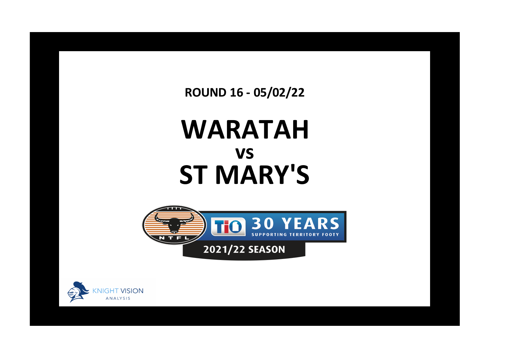**ROUND 16 - 05/02/22**

## **WARATAH ST MARY'S vs**



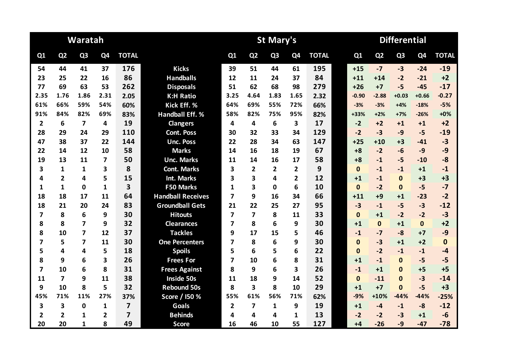|                |                         | Waratah                 |                         |                |                          |                         |                         | <b>St Mary's</b> |                |              | <b>Differential</b> |                |                |                |              |  |  |
|----------------|-------------------------|-------------------------|-------------------------|----------------|--------------------------|-------------------------|-------------------------|------------------|----------------|--------------|---------------------|----------------|----------------|----------------|--------------|--|--|
| Q1             | Q <sub>2</sub>          | Q <sub>3</sub>          | Q4                      | <b>TOTAL</b>   |                          | Q1                      | Q <sub>2</sub>          | Q <sub>3</sub>   | Q <sub>4</sub> | <b>TOTAL</b> | Q1                  | Q <sub>2</sub> | Q <sub>3</sub> | Q <sub>4</sub> | <b>TOTAL</b> |  |  |
| 54             | 44                      | 41                      | 37                      | 176            | <b>Kicks</b>             | 39                      | 51                      | 44               | 61             | 195          | $+15$               | $-7$           | $-3$           | $-24$          | $-19$        |  |  |
| 23             | 25                      | 22                      | 16                      | 86             | <b>Handballs</b>         | 12                      | 11                      | 24               | 37             | 84           | $+11$               | $+14$          | $-2$           | $-21$          | $+2$         |  |  |
| 77             | 69                      | 63                      | 53                      | 262            | <b>Disposals</b>         | 51                      | 62                      | 68               | 98             | 279          | $+26$               | $+7$           | $-5$           | $-45$          | $-17$        |  |  |
| 2.35           | 1.76                    | 1.86                    | 2.31                    | 2.05           | <b>K:H Ratio</b>         | 3.25                    | 4.64                    | 1.83             | 1.65           | 2.32         | $-0.90$             | $-2.88$        | $+0.03$        | $+0.66$        | $-0.27$      |  |  |
| 61%            | 66%                     | 59%                     | 54%                     | 60%            | Kick Eff. %              | 64%                     | 69%                     | 55%              | 72%            | 66%          | $-3%$               | $-3%$          | $+4%$          | $-18%$         | $-5%$        |  |  |
| 91%            | 84%                     | 82%                     | 69%                     | 83%            | <b>Handball Eff. %</b>   | 58%                     | 82%                     | 75%              | 95%            | 82%          | +33%                | $+2%$          | $+7%$          | $-26%$         | $+0%$        |  |  |
| $\overline{2}$ | 6                       | $\overline{7}$          | 4                       | 19             | <b>Clangers</b>          | 4                       | 4                       | 6                | 3              | 17           | $-2$                | $+2$           | $+1$           | $+1$           | $+2$         |  |  |
| 28             | 29                      | 24                      | 29                      | 110            | <b>Cont. Poss</b>        | 30                      | 32                      | 33               | 34             | 129          | $-2$                | $-3$           | $-9$           | $-5$           | $-19$        |  |  |
| 47             | 38                      | 37                      | 22                      | 144            | <b>Unc. Poss</b>         | 22                      | 28                      | 34               | 63             | 147          | $+25$               | $+10$          | $+3$           | $-41$          | $-3$         |  |  |
| 22             | 14                      | 12                      | 10                      | 58             | <b>Marks</b>             | 14                      | 16                      | 18               | 19             | 67           | $+8$                | $-2$           | $-6$           | $-9$           | $-9$         |  |  |
| 19             | 13                      | 11                      | $\overline{\mathbf{z}}$ | 50             | <b>Unc. Marks</b>        | 11                      | 14                      | 16               | 17             | 58           | $+8$                | $-1$           | $-5$           | $-10$          | $-8$         |  |  |
| 3              | 1                       | 1                       | 3                       | 8              | <b>Cont. Marks</b>       | 3                       | $\overline{2}$          | $\overline{2}$   | 2              | 9            | $\mathbf{0}$        | $-1$           | $-1$           | $+1$           | $-1$         |  |  |
| 4              | $\overline{\mathbf{2}}$ | 4                       | 5                       | 15             | <b>Int. Marks</b>        | 3                       | 3                       | 4                | $\overline{2}$ | 12           | $+1$                | $-1$           | $\Omega$       | $+3$           | $+3$         |  |  |
| 1              | $\mathbf{1}$            | $\mathbf 0$             | $\mathbf{1}$            | 3              | <b>F50 Marks</b>         | 1                       | 3                       | $\mathbf 0$      | 6              | 10           | $\mathbf{0}$        | $-2$           | $\mathbf{0}$   | $-5$           | $-7$         |  |  |
| 18             | 18                      | 17                      | 11                      | 64             | <b>Handball Receives</b> | $\overline{\mathbf{z}}$ | 9                       | 16               | 34             | 66           | $+11$               | $+9$           | $+1$           | $-23$          | $-2$         |  |  |
| 18             | 21                      | 20                      | 24                      | 83             | <b>Groundball Gets</b>   | 21                      | 22                      | 25               | 27             | 95           | $-3$                | $-1$           | $-5$           | $-3$           | $-12$        |  |  |
| 7              | 8                       | 6                       | 9                       | 30             | <b>Hitouts</b>           | $\overline{7}$          | $\overline{\mathbf{z}}$ | 8                | 11             | 33           | $\mathbf{0}$        | $+1$           | $-2$           | $-2$           | $-3$         |  |  |
| 8              | 8                       | $\overline{\mathbf{z}}$ | 9                       | 32             | <b>Clearances</b>        | 7                       | 8                       | 6                | 9              | 30           | $+1$                | $\mathbf{0}$   | $+1$           | $\mathbf 0$    | $+2$         |  |  |
| 8              | 10                      | $\overline{\mathbf{z}}$ | 12                      | 37             | <b>Tackles</b>           | 9                       | 17                      | 15               | 5              | 46           | $-1$                | $-7$           | $-8$           | $+7$           | $-9$         |  |  |
| 7              | 5                       | 7                       | 11                      | 30             | <b>One Percenters</b>    | 7                       | 8                       | 6                | 9              | 30           | $\mathbf{0}$        | $-3$           | $+1$           | $+2$           | $\mathbf{0}$ |  |  |
| 5              | 4                       | 4                       | 5                       | 18             | <b>Spoils</b>            | 5                       | 6                       | 5                | 6              | 22           | $\Omega$            | $-2$           | $-1$           | $-1$           | $-4$         |  |  |
| 8              | 9                       | 6                       | 3                       | 26             | <b>Frees For</b>         | 7                       | 10                      | 6                | 8              | 31           | $+1$                | $-1$           | $\mathbf{0}$   | $-5$           | $-5$         |  |  |
| $\overline{7}$ | 10                      | 6                       | 8                       | 31             | <b>Frees Against</b>     | 8                       | 9                       | 6                | 3              | 26           | $-1$                | $+1$           | $\bf{0}$       | $+5$           | $+5$         |  |  |
| 11             | $\overline{7}$          | 9                       | 11                      | 38             | <b>Inside 50s</b>        | 11                      | 18                      | 9                | 14             | 52           | $\bf{0}$            | $-11$          | $\Omega$       | $-3$           | $-14$        |  |  |
| 9              | 10                      | 8                       | 5                       | 32             | <b>Rebound 50s</b>       | 8                       | 3                       | 8                | 10             | 29           | $+1$                | $+7$           | $\Omega$       | $-5$           | $+3$         |  |  |
| 45%            | 71%                     | 11%                     | 27%                     | 37%            | Score / I50 %            | 55%                     | 61%                     | 56%              | 71%            | 62%          | $-9%$               | $+10%$         | $-44%$         | $-44%$         | $-25%$       |  |  |
| 3              | 3                       | $\mathbf 0$             | 1                       | $\overline{7}$ | <b>Goals</b>             | $\overline{2}$          | $\overline{\mathbf{z}}$ | 1                | 9              | 19           | $+1$                | $-4$           | $-1$           | $-8$           | $-12$        |  |  |
| $\overline{2}$ | $\overline{2}$          | 1                       | 2                       | $\overline{7}$ | <b>Behinds</b>           | 4                       | 4                       | 4                | 1              | 13           | $-2$                | $-2$           | $-3$           | $+1$           | $-6$         |  |  |
| 20             | 20                      | $\mathbf{1}$            | 8                       | 49             | <b>Score</b>             | 16                      | 46                      | 10               | 55             | 127          | $+4$                | $-26$          | $-9$           | $-47$          | $-78$        |  |  |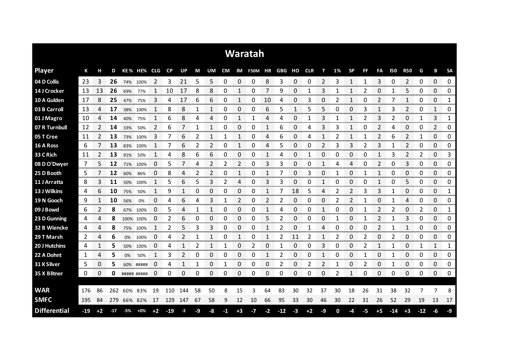|                     |       |                |       |     |             |                      |           |     |    |              |      |                 | Waratah                  |      |       |              |      |    |              |                |    |                |            |                     |                |                  |               |
|---------------------|-------|----------------|-------|-----|-------------|----------------------|-----------|-----|----|--------------|------|-----------------|--------------------------|------|-------|--------------|------|----|--------------|----------------|----|----------------|------------|---------------------|----------------|------------------|---------------|
| <b>Player</b>       | К     | н              | D     |     | KE% HE% CLG |                      | <b>CP</b> | UP  | M  | UM           |      |                 | CM IM F50M HR GBG HO CLR |      |       |              |      | т  | 1%           | <b>SP</b>      | FF | FA             | <b>I50</b> | <b>R50</b>          | G              | В                | <b>SA</b>     |
| 04 D Collis         | 23    | 3              | 26    |     | 74% 100%    | 2                    | 3         | 21  | 5  | 5            | 0    | 0               | 0                        | 8    | 3     | 0            | 0    | 2  | 3            | 1              |    | 3              | 0          | 2                   | 0              | 0                | 0             |
| 14 J Crocker        | 13    | 13             | 26    | 69% | 77%         |                      | 10        | 17  | 8  | 8            | 0    |                 | 0                        | 7    | 9     | 0            |      | 3  | 1            |                | 2  | 0              |            | 5                   | 0              | 0                | 0             |
| 10 A Gulden         | 17    | 8              | 25    | 47% | 75%         | 3                    | 4         | 17  | 6  | 6            | 0    |                 | 0                        | 10   | 4     | 0            | 3    | 0  | 2            | 1              | 0  | 2              |            | 1                   | 0              | 0                | 1             |
| 03 B Carroll        | 13    | 4              | 17    | 38% | 100%        | 1                    | 8         | 8   | 1  | 1            | 0    | 0               | 0                        | 6    | 5     | 1            | 5    | 5  | 0            | 0              | 3  | 1              | 3          | 2                   | 0              | 1                | 0             |
| 01 J Magro          | 10    | 4              | 14    | 40% | 75%         | 1                    | 6         | 8   | 4  | 4            | 0    | 1               |                          | 4    | 4     | 0            |      | 3  |              | $\mathbf{1}$   | 2  | 3              | 2          | 0                   | 1              | 3                | 1             |
| 07 R Turnbull       | 12    | 2              | 14    | 33% | 50%         | 2                    | 6         | 7   | 1  | 1            | 0    | 0               | 0                        | 1    | 6     | 0            | 4    | 3  | 3            | 1              | 0  | 2              | 4          | 0                   | 0              | 2                | 0             |
| 05 T Cree           | 11    | 2              | 13    | 73% | 100%        | 3                    | 7         | 6   | 2  | $\mathbf{1}$ | 1    | 1               | 0                        | 4    | 6     | 0            | 4    | 1  | 2            | 1              |    | $\overline{2}$ | 6          | $\overline{2}$      | 1              | 0                | 0             |
| 16 A Ross           | 6     | 7              | 13    | 83% | 100%        |                      | 7         | 6   | 2  | 2            | 0    | 1               | 0                        | 4    | 5     | 0            | 0    | 2  | 3            | 3              | 2  | 3              |            | $\overline{2}$      | 0              | 0                | 0             |
| 33 C Rich           | 11    | $\overline{2}$ | 13    | 91% | 50%         | 1                    | 4         | 8   | 6  | 6            | 0    | 0               | 0                        | 1    | 4     | 0            | 1    | 0  | 0            | 0              | 0  | 1              | 3          | $\overline{2}$      | $\overline{2}$ | 0                | 3             |
| 08 D O'Dwyer        | 7     | 5.             | 12    | 71% | 100%        | 0                    | 5         | 7   | 4  | 2            | 2    | 2               | 0                        | 3    | 3     | 0            | 0    | 1  | 4            | 4              | 0  | 2              | 0          | 3                   | 0              | 0                | 0             |
| 25 D Booth          | 5     |                | 12    | 60% | 86%         | 0                    | 8         | 4   | 2  | 2            | 0    | $\mathbf{1}$    | 0                        | 1    |       | 0            | 3    | 0  | 1            | 0              | 1  | 1              | 0          | 0                   | 0              | 0                | 0             |
| 11 J Arratta        | 8     | 3              | 11    | 50% | 100%        |                      | 5         | 6   | 5  | 3            | 2    | 4               | 0                        | 3    | 3     | 0            | 0    | 1  | 0            | 0              | 0  | 1              | 0          | 5                   | 0              | 0                | 0             |
| 13 J Wilkins        | 4     | 6              | 10    | 75% | 50%         | 1                    | 9         | 1   | 0  | 0            | 0    | 0               | 0                        | 1    |       | 18           | 5    | 4  | 2            | $\overline{2}$ | 3  | 3              |            | 0                   | 0              | 0                | 1             |
| 19 N Gooch          | 9     | $\mathbf{1}$   | 10    | 56% | 0%          | 0                    | 4         | 6   | 4  | 3            | 1    | 2               | 0                        | 2    |       | 0            | 0    | 0  | 2            |                |    | 0              |            | 4                   | 0              | 0                | 0             |
| 09 J Bowd           | 6     | 2              | 8     | 67% | 100%        | 0                    | 5         | 4   |    |              | 0    | ი<br>an an an a | 0                        |      | 4     | 0<br>an mara | 0    |    | 0            | 0              |    | 2              | 2          | 0<br>ana mana       | 2              | 0<br>ana ana ana | 1<br>www.com  |
| 23 D Gunning        | 4     | 4              | 8     |     | 100% 100%   | $\Box$<br>monomente. | 2         | 6   | O  | 0            | 0    | 0<br>onomor     | 0                        | ר    |       | O            | O    | 0  |              | O              |    | 2<br>ananan    |            | 3<br><b>Seconds</b> | 0              | 0<br>manan a     | 0<br>ennenne  |
| 32 B Wiencke        | 4     | 4              | 8     | 75% | 100%        | 1                    | 2         | 5   | 3  | 3            | 0    | 0               | 0                        |      | 2     | 0            |      | 4  | 0            | 0              | 0  | 2              | 1          | 1                   | 0              | 0                | 0<br>ana araw |
| 29 T Marsh          | 2     | 4              | 6     | 0%  | 100%        | 0                    | 4         |     |    |              | 0    |                 | 0                        |      |       | 11           |      |    | 2            | 0              |    | 0              |            | 0                   | 0              | 0                | 0             |
| 20 J Hutchins       | 4     |                | 5     | 50% | 100%        | 0                    | 4         | 1   | 2  | 1            | 1    | 0               | 2                        | 0    |       | 0            | O    | 3  | 0            | 0              | 2  | 1              |            | 0                   | 1              | 1                | 1             |
| 22 A Dohnt          | 1     | 4              | 5     | 0%  | 50%         | 1                    | 3         | 2   | 0  | 0            | 0    | 0               | 0                        | 1    | 2     | 0            | 0    | 1  | 0            | 0              |    | 0              | 1          | 0                   | 0              | 0                | 0             |
| 31 K Silver         | 5     | 0              | 5     |     | 60% #####   | 0                    | 4         | 1   | 1  | 0            | 1    | 0               | 0                        | 0    | 2     | 0            | 2    | 2  | $\mathbf{1}$ | 0              | 2  | 0              | 1          | 0                   | 0              | 0                | 0             |
| 35 X Blitner        | 0     | 0              | 0     |     | ##### ##### | 0                    | 0         | 0   | 0  | 0            | 0    | $\Omega$        | 0                        | 0    | 0     | 0            | 0    | 0  | 2            | 1              | 0  | $\Omega$       | 0          | 0                   | 0              | 0                | 0             |
|                     |       |                |       |     |             |                      |           |     |    |              |      |                 |                          |      |       |              |      |    |              |                |    |                |            |                     |                |                  |               |
| <b>WAR</b>          | 176   | 86             | 262   | 60% | 83%         | 19                   | 110       | 144 | 58 | 50           | 8    | 15              | 3                        | 64   | 83    | 30           | 32   | 37 | 30           | 18             | 26 | 31             | 38         | 32                  |                | 7                | 8             |
| <b>SMFC</b>         | 195   | 84             | 279   |     | 66% 82%     | 17                   | 129       | 147 | 67 | 58           | 9    | 12              | 10                       | 66   | 95    | 33           | 30   | 46 | 30           | 22             | 31 | 26             | 52         | 29                  | 19             | 13               | 17            |
| <b>Differential</b> | $-19$ | $+2$           | $-17$ | -5% | $+0\%$      | $+2$                 | -19       | -3  | -9 | -8           | $-1$ | $+3$            | -7                       | $-2$ | $-12$ | $-3$         | $+2$ | -9 | 0            | -4             | -5 | $+5$           | -14        | $+3$                | $-12$          | -6               | -9            |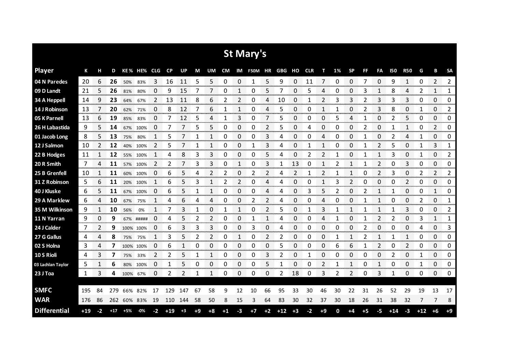|                     |       |      |       |      |             |    |       |               |      |      |      |              | St Mary's  |      |        |      |            |      |    |              |      |                |            |                |       |                |                |
|---------------------|-------|------|-------|------|-------------|----|-------|---------------|------|------|------|--------------|------------|------|--------|------|------------|------|----|--------------|------|----------------|------------|----------------|-------|----------------|----------------|
| <b>Player</b>       | К     | н    | D     |      | KE% HE% CLG |    | CP    | UP            | М    | UM   | CM   |              | IM F50M HR |      | GBG HO |      | <b>CLR</b> | т    | 1% | <b>SP</b>    | FF   | FA             | <b>I50</b> | <b>R50</b>     | G     | B              | <b>SA</b>      |
| 04 N Paredes        | 20    | 6    | 26    | 50%  | 83%         | 3  | 16    | 11            | 5    | 5    | 0    | 0            | 1          | 5    | 9      | 0    | 11         | 7    | 0  | 0            | 7    | 0              | 9          | $\mathbf{1}$   | 0     | $\overline{2}$ | $\overline{2}$ |
| 09 D Landt          | 21    | 5    | 26    | 81%  | 80%         | O  | 9     | 15            |      |      | 0    |              | 0          | 5    |        | 0    | 5          | 4    | Ω  | 0            | 3    |                | 8          | 4              | 2     | 1              | 1              |
| <b>34 A Heppell</b> | 14    | 9    | 23    | 64%  | 67%         | 2  | 13    | 11            | 8    | 6    | 2    | 2            | 0          | 4    | 10     | 0    |            | 2    | 3  | 3            | 2    | 3              | 3          | 3              | 0     | 0              | 0              |
| 14 J Robinson       | 13    |      | 20    | 62%  | 71%         | 0  | 8     | 12            | 7    | 6    | 1    | 1            | 0          | 4    | 5      | 0    | 0          | 1    |    | 0            |      | 3              | 8          | 0              | 1     | 0              | 2              |
| 05 K Parnell        | 13    | 6    | 19    | 85%  | 83%         | 0  | 7     | 12            | 5    | 4    | 1    | 3            | 0          | 7    | 5      | 0    | 0          | 0    | 5  | 4            | 1    | 0              | 2          | 5              | 0     | 0              | 0              |
| 26 H Labastida      | 9     | 5    | 14    | 67%  | 100%        | 0  | 7     |               | 5    | 5    | 0    | 0            | 0          | 2    | 5      | 0    | 4          | 0    | 0  | 0            |      | 0              | 1          | 1              | 0     | 2              | 0              |
| 01 Jacob Long       | 8     | 5    | 13    | 75%  | 80%         | 1  | 5     |               |      | 1    | 0    | 0            | 0          | 3    | 4      | 0    | 0          | 4    | 0  | 0            |      | 0              | 2          | 4              | 1     | 0              | 0              |
| 12 J Salmon         | 10    | 2    | 12    | 40%  | 100%        | 2  | 5     |               | 1    | 1    | 0    | 0            |            | 3    | 4      | 0    |            | 1    | 0  | 0            |      | 2              | 5          | 0              | 1     | 3              | 1              |
| 22 B Hodges         | 11    | 1    | 12    |      | 55% 100%    | 1  | 4     | 8             | 3    | 3    | 0    | 0            | 0          | 5    | 4      | 0    | 2          | 2    | 1  | 0            | 1    | 1              | 3          | 0              | 1     | 0              | 2              |
| 20 R Smith          | 7     | 4    | 11    | 57%  | 100%        | 2  | 2     |               | 3    | 3    | 0    | 1            | 0          | 3    |        | 13   | 0          | 1    | 2  | 1            |      | 2              | 0          | 3              | 0     | 0              | 0              |
| 25 B Grenfell       | 10    | 1    | 11    | 60%  | 100%        | 0  | 6     | 5             | 4    | 2    | 2    | 0            | 2          | 2    | 4      | 2    | 1          | 2    |    | 1            | 0    | 2              | 3          | 0              | 2     | 2              | 2              |
| 31 Z Robinson       | 5     | 6    | 11    | 20%  | 100%        | 1  | 6     | 5             | 3    | 1    | 2    | 2            | 0          | 4    |        | 0    | 0          | 1    | 3  | 2            | 0    | 0              | 0          | $\overline{2}$ | 0     | 0              | 0              |
| 40 J Kluske         | 6     | 5    | 11    |      | 67% 100%    | 0  | 6     | 5             | 1    | 1    | 0    | $\Omega$     | 0          | 4    | 4      | 0    | 3          | 5    | 2  | 0            | 2    | $\mathbf{1}$   | 1          | 0              | 0     | $\mathbf{1}$   | 0              |
| 29 A Marklew        | 6     | 4    | 10    | 67%  | 75%         | 1  | 4     | 6             | 4    | 4    | 0    | 0            | 2          | 2    | 4      | 0    | 0          | 4    | 0  | 0            |      | 1              | 0          | 0              | 2     | 0              | 1              |
| 35 M Wilkinson      | 9     | 1    | 10    | 56%  | 0%          | 1  | 7     | 3             | 1    | 0    | 1    | $\mathbf{1}$ | 0          | 2    | 5      | 0    | 1          | 3    | 1  | 1            | 1    | 1              | 1          | 3              | 0     | 0              | 2              |
| 11 N Yarran         | 9     | 0    | 9     |      | 67% #####   | 0  | 4     | 5             | 2    | 2    | 0    | 0            |            | 1    | 4      | 0    | 0          | 4    | 1  | 0            |      | 2              | 2          | 0              | 3     | 1              | 1              |
| 24 J Calder         | 7     | 2    | 9     |      | 100% 100%   | 0  | 6     | 3             | 3    | 3    | 0    | 0            | 3          | 0    | 4      | 0    | 0          | 0    | 0  | 0            | 2    | 0              | 0          | 0              | 4     | 0              | 3              |
| 27 G Gallus         | 4     | 4    | 8     | 75%  | 75%         | 1  | 3     | 5             | 2    | 2    | 0    | 1            | 0          | 2    | 2      | 0    | 0          | 0    | 1  | $\mathbf{1}$ | 2    | 1              | 1          | 1              | 0     | 0              | 0              |
| 02 S Holna          | 3     | 4    | 7     |      | 100% 100%   | 0  | 6     | 1             | 0    | 0    | 0    | 0            | 0          | 0    | 5      | 0    | 0          | 0    | 6  | 6            | 1    | $\overline{2}$ | 0          | 2              | 0     | 0              | 0              |
| 10 S Rioli          | 4     | 3    | 7     | 75%  | 33%         | 2  | 2     | 5             | 1    | 1    | 0    | 0            | 0          | 3    | 2      | 0    | 1          | 0    | 0  | 0            | 0    | 0              | 2          | 0              | 1     | 0              | 0              |
| 03 Lachlan Taylor   | 5     | 1    | 6     | 80%  | 100%        | 0  | 1     | 5             | 0    | 0    | 0    | 0            | 0          | 5    | 1      | 0    | 0          | 2    | 1  | 1            | 0    | 1              | 0          | 0              | 1     | 0              | 0              |
| 23 J Toa            | 1     | 3    | 4     | 100% | 67%         | 0  | 2     | $\mathcal{P}$ | 1    | 1    | 0    | 0            | 0          | 0    | 2      | 18   | 0          | 3    | 2  | 2            | 0    | 3              | 1          | 0              | 0     | 0              | 0              |
|                     |       |      |       |      |             |    |       |               |      |      |      |              |            |      |        |      |            |      |    |              |      |                |            |                |       |                |                |
| <b>SMFC</b>         | 195   | 84   | 279   | 66%  | 82%         | 17 | 129   | 147           | 67   | 58   | 9    | 12           | 10         | 66   | 95     | 33   | 30         | 46   | 30 | 22           | 31   | 26             | 52         | 29             | 19    | 13             | 17             |
| <b>WAR</b>          | 176   | 86   | 262   |      | 60% 83%     | 19 | 110   | 144           | 58   | 50   | 8    | 15           | 3          | 64   | 83     | 30   | 32         | 37   | 30 | 18           | 26   | 31             | 38         | 32             | 7     | 7              | 8              |
| <b>Differential</b> | $+19$ | $-2$ | $+17$ | +5%  | $-0\%$      | -2 | $+19$ | $+3$          | $+9$ | $+8$ | $+1$ | $-3$         | $+7$       | $+2$ | $+12$  | $+3$ | $-2$       | $+9$ | 0  | +4           | $+5$ | -5             | $+14$      | $-3$           | $+12$ | $+6$           | $+9$           |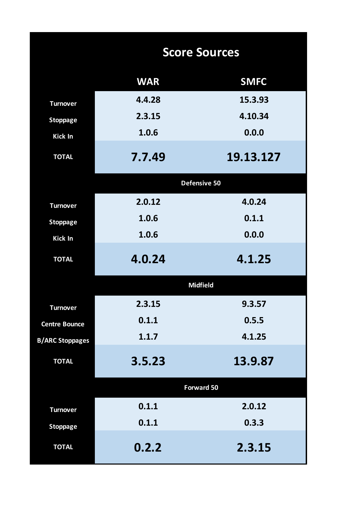|                        |            | <b>Score Sources</b> |
|------------------------|------------|----------------------|
|                        | <b>WAR</b> | <b>SMFC</b>          |
| <b>Turnover</b>        | 4.4.28     | 15.3.93              |
| <b>Stoppage</b>        | 2.3.15     | 4.10.34              |
| Kick In                | 1.0.6      | 0.0.0                |
| <b>TOTAL</b>           | 7.7.49     | 19.13.127            |
|                        |            | Defensive 50         |
| <b>Turnover</b>        | 2.0.12     | 4.0.24               |
| <b>Stoppage</b>        | 1.0.6      | 0.1.1                |
| <b>Kick In</b>         | 1.0.6      | 0.0.0                |
| <b>TOTAL</b>           | 4.0.24     | 4.1.25               |
|                        |            | <b>Midfield</b>      |
| <b>Turnover</b>        | 2.3.15     | 9.3.57               |
| <b>Centre Bounce</b>   | 0.1.1      | 0.5.5                |
| <b>B/ARC Stoppages</b> | 1.1.7      | 4.1.25               |
| <b>TOTAL</b>           | 3.5.23     | 13.9.87              |
|                        |            | <b>Forward 50</b>    |
| <b>Turnover</b>        | 0.1.1      | 2.0.12               |
| <b>Stoppage</b>        | 0.1.1      | 0.3.3                |
| <b>TOTAL</b>           | 0.2.2      | 2.3.15               |